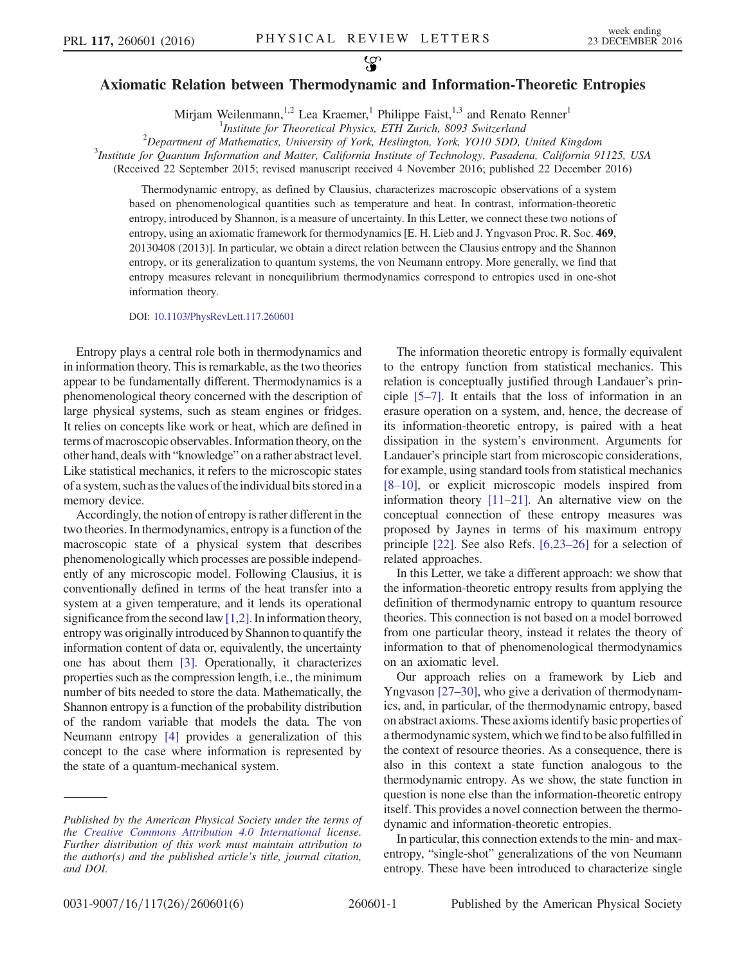## Axiomatic Relation between Thermodynamic and Information-Theoretic Entropies

Mirjam Weilenmann,<sup>1,2</sup> Lea Kraemer,<sup>1</sup> Philippe Faist,<sup>1,3</sup> and Renato Renner<sup>1</sup>

<sup>1</sup>Institute for Theoretical Physics, ETH Zurich, 8093 Switzerland<br><sup>2</sup>Department of Mathematics, University of Verk, Heslington, Yerk, YO10, 5DD

 $^{2}$ Department of Mathematics, University of York, Heslington, York, YO10 5DD, United Kingdom

 $3$ Institute for Quantum Information and Matter, California Institute of Technology, Pasadena, California 91125, USA

(Received 22 September 2015; revised manuscript received 4 November 2016; published 22 December 2016)

Thermodynamic entropy, as defined by Clausius, characterizes macroscopic observations of a system based on phenomenological quantities such as temperature and heat. In contrast, information-theoretic entropy, introduced by Shannon, is a measure of uncertainty. In this Letter, we connect these two notions of entropy, using an axiomatic framework for thermodynamics [E. H. Lieb and J. Yngvason Proc. R. Soc. 469, 20130408 (2013)]. In particular, we obtain a direct relation between the Clausius entropy and the Shannon entropy, or its generalization to quantum systems, the von Neumann entropy. More generally, we find that entropy measures relevant in nonequilibrium thermodynamics correspond to entropies used in one-shot information theory.

DOI: [10.1103/PhysRevLett.117.260601](http://dx.doi.org/10.1103/PhysRevLett.117.260601)

Entropy plays a central role both in thermodynamics and in information theory. This is remarkable, as the two theories appear to be fundamentally different. Thermodynamics is a phenomenological theory concerned with the description of large physical systems, such as steam engines or fridges. It relies on concepts like work or heat, which are defined in terms of macroscopic observables. Information theory, on the other hand, deals with "knowledge" on a rather abstract level. Like statistical mechanics, it refers to the microscopic states of a system, such as the values of the individual bits storedin a memory device.

Accordingly, the notion of entropy is rather different in the two theories. In thermodynamics, entropy is a function of the macroscopic state of a physical system that describes phenomenologically which processes are possible independently of any microscopic model. Following Clausius, it is conventionally defined in terms of the heat transfer into a system at a given temperature, and it lends its operational significance from the second law [\[1,2\].](#page-3-0) In information theory, entropy was originally introduced by Shannon to quantify the information content of data or, equivalently, the uncertainty one has about them [\[3\].](#page-3-1) Operationally, it characterizes properties such as the compression length, i.e., the minimum number of bits needed to store the data. Mathematically, the Shannon entropy is a function of the probability distribution of the random variable that models the data. The von Neumann entropy [\[4\]](#page-4-0) provides a generalization of this concept to the case where information is represented by the state of a quantum-mechanical system.

The information theoretic entropy is formally equivalent to the entropy function from statistical mechanics. This relation is conceptually justified through Landauer's principle [\[5](#page-4-1)–7]. It entails that the loss of information in an erasure operation on a system, and, hence, the decrease of its information-theoretic entropy, is paired with a heat dissipation in the system's environment. Arguments for Landauer's principle start from microscopic considerations, for example, using standard tools from statistical mechanics [8–[10\],](#page-4-2) or explicit microscopic models inspired from information theory [\[11](#page-4-3)–21]. An alternative view on the conceptual connection of these entropy measures was proposed by Jaynes in terms of his maximum entropy principle [\[22\].](#page-4-4) See also Refs. [\[6,23](#page-4-5)–26] for a selection of related approaches.

In this Letter, we take a different approach: we show that the information-theoretic entropy results from applying the definition of thermodynamic entropy to quantum resource theories. This connection is not based on a model borrowed from one particular theory, instead it relates the theory of information to that of phenomenological thermodynamics on an axiomatic level.

Our approach relies on a framework by Lieb and Yngvason [\[27](#page-4-6)–30], who give a derivation of thermodynamics, and, in particular, of the thermodynamic entropy, based on abstract axioms. These axioms identify basic properties of a thermodynamic system, which we find to be also fulfilled in the context of resource theories. As a consequence, there is also in this context a state function analogous to the thermodynamic entropy. As we show, the state function in question is none else than the information-theoretic entropy itself. This provides a novel connection between the thermodynamic and information-theoretic entropies.

In particular, this connection extends to the min- and maxentropy, "single-shot" generalizations of the von Neumann entropy. These have been introduced to characterize single

Published by the American Physical Society under the terms of the [Creative Commons Attribution 4.0 International](https://creativecommons.org/licenses/by/4.0/) license. Further distribution of this work must maintain attribution to the author(s) and the published article's title, journal citation, and DOI.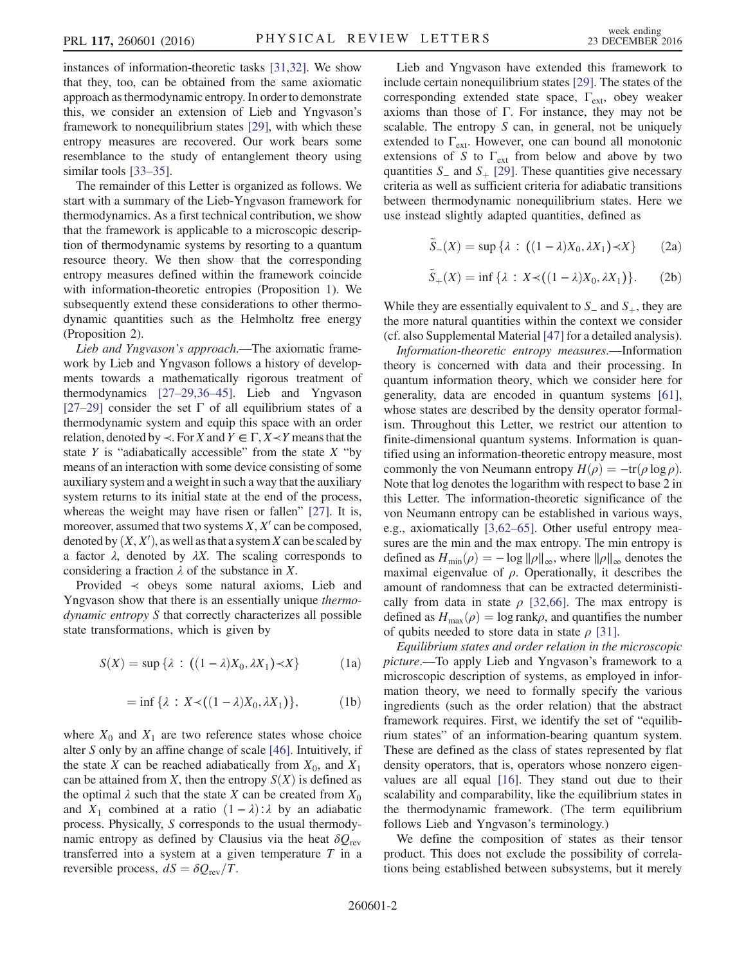instances of information-theoretic tasks [\[31,32\]](#page-4-7). We show that they, too, can be obtained from the same axiomatic approach as thermodynamic entropy. In order to demonstrate this, we consider an extension of Lieb and Yngvason's framework to nonequilibrium states [\[29\]](#page-4-8), with which these entropy measures are recovered. Our work bears some resemblance to the study of entanglement theory using similar tools [\[33](#page-4-9)–35].

The remainder of this Letter is organized as follows. We start with a summary of the Lieb-Yngvason framework for thermodynamics. As a first technical contribution, we show that the framework is applicable to a microscopic description of thermodynamic systems by resorting to a quantum resource theory. We then show that the corresponding entropy measures defined within the framework coincide with information-theoretic entropies (Proposition 1). We subsequently extend these considerations to other thermodynamic quantities such as the Helmholtz free energy (Proposition 2).

Lieb and Yngvason's approach.—The axiomatic framework by Lieb and Yngvason follows a history of developments towards a mathematically rigorous treatment of thermodynamics [27–[29,36](#page-4-6)–45]. Lieb and Yngvason [27–[29\]](#page-4-6) consider the set  $\Gamma$  of all equilibrium states of a thermodynamic system and equip this space with an order relation, denoted by  $\prec$ . For X and  $Y \in \Gamma, X \prec Y$  means that the state  $Y$  is "adiabatically accessible" from the state  $X$  "by means of an interaction with some device consisting of some auxiliary system and a weight in such a way that the auxiliary system returns to its initial state at the end of the process, whereas the weight may have risen or fallen" [\[27\]](#page-4-6). It is, moreover, assumed that two systems  $X, X'$  can be composed, denoted by  $(X, X')$ , as well as that a system X can be scaled by<br>a factor  $\lambda$  denoted by  $\lambda X$ . The scaling corresponds to a factor  $\lambda$ , denoted by  $\lambda X$ . The scaling corresponds to considering a fraction  $\lambda$  of the substance in X.

Provided  $\prec$  obeys some natural axioms, Lieb and Yngvason show that there is an essentially unique *thermo*dynamic entropy S that correctly characterizes all possible state transformations, which is given by

$$
S(X) = \sup \{ \lambda : ((1 - \lambda)X_0, \lambda X_1) \prec X \}
$$
 (1a)

$$
= \inf \{ \lambda : X \prec ((1 - \lambda)X_0, \lambda X_1) \}, \tag{1b}
$$

where  $X_0$  and  $X_1$  are two reference states whose choice alter S only by an affine change of scale [\[46\]](#page-4-10). Intuitively, if the state X can be reached adiabatically from  $X_0$ , and  $X_1$ can be attained from  $X$ , then the entropy  $S(X)$  is defined as the optimal  $\lambda$  such that the state X can be created from  $X_0$ and  $X_1$  combined at a ratio  $(1 - \lambda) : \lambda$  by an adiabatic process. Physically, S corresponds to the usual thermodynamic entropy as defined by Clausius via the heat  $\delta Q_{\text{rev}}$ transferred into a system at a given temperature  $T$  in a reversible process,  $dS = \delta Q_{\text{rev}}/T$ .

Lieb and Yngvason have extended this framework to include certain nonequilibrium states [\[29\]](#page-4-8). The states of the corresponding extended state space,  $\Gamma_{ext}$ , obey weaker axioms than those of  $\Gamma$ . For instance, they may not be scalable. The entropy  $S$  can, in general, not be uniquely extended to  $\Gamma_{ext}$ . However, one can bound all monotonic extensions of S to  $\Gamma_{ext}$  from below and above by two quantities  $S_$  and  $S_$  [\[29\].](#page-4-8) These quantities give necessary criteria as well as sufficient criteria for adiabatic transitions between thermodynamic nonequilibrium states. Here we use instead slightly adapted quantities, defined as

$$
\tilde{S}_{-}(X) = \sup \{ \lambda : ((1 - \lambda)X_0, \lambda X_1) \prec X \}
$$
 (2a)

$$
\widetilde{S}_+(X) = \inf \{ \lambda : X \prec ((1 - \lambda)X_0, \lambda X_1) \}. \tag{2b}
$$

While they are essentially equivalent to  $S_$  and  $S_+$ , they are the more natural quantities within the context we consider (cf. also Supplemental Material [\[47\]](#page-4-11) for a detailed analysis).

Information-theoretic entropy measures.—Information theory is concerned with data and their processing. In quantum information theory, which we consider here for generality, data are encoded in quantum systems [\[61\]](#page-4-12), whose states are described by the density operator formalism. Throughout this Letter, we restrict our attention to finite-dimensional quantum systems. Information is quantified using an information-theoretic entropy measure, most commonly the von Neumann entropy  $H(\rho) = -\text{tr}(\rho \log \rho)$ . Note that log denotes the logarithm with respect to base 2 in this Letter. The information-theoretic significance of the von Neumann entropy can be established in various ways, e.g., axiomatically [\[3,62](#page-3-1)–65]. Other useful entropy measures are the min and the max entropy. The min entropy is defined as  $H_{\min}(\rho) = -\log \|\rho\|_{\infty}$ , where  $\|\rho\|_{\infty}$  denotes the maximal eigenvalue of  $\rho$ . Operationally, it describes the amount of randomness that can be extracted deterministically from data in state  $\rho$  [\[32,66\].](#page-4-13) The max entropy is defined as  $H_{\text{max}}(\rho) = \log \text{rank}\rho$ , and quantifies the number of qubits needed to store data in state  $\rho$  [\[31\]](#page-4-7).

Equilibrium states and order relation in the microscopic picture.—To apply Lieb and Yngvason's framework to a microscopic description of systems, as employed in information theory, we need to formally specify the various ingredients (such as the order relation) that the abstract framework requires. First, we identify the set of "equilibrium states" of an information-bearing quantum system. These are defined as the class of states represented by flat density operators, that is, operators whose nonzero eigenvalues are all equal [\[16\].](#page-4-14) They stand out due to their scalability and comparability, like the equilibrium states in the thermodynamic framework. (The term equilibrium follows Lieb and Yngvason's terminology.)

We define the composition of states as their tensor product. This does not exclude the possibility of correlations being established between subsystems, but it merely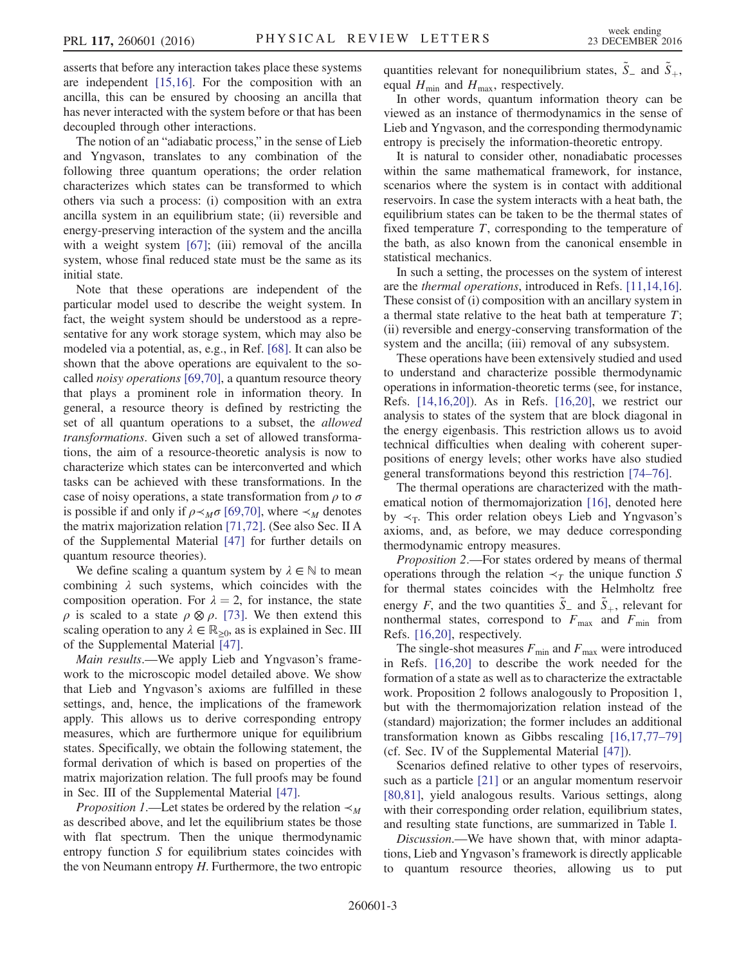asserts that before any interaction takes place these systems are independent [\[15,16\].](#page-4-15) For the composition with an ancilla, this can be ensured by choosing an ancilla that has never interacted with the system before or that has been decoupled through other interactions.

The notion of an "adiabatic process," in the sense of Lieb and Yngvason, translates to any combination of the following three quantum operations; the order relation characterizes which states can be transformed to which others via such a process: (i) composition with an extra ancilla system in an equilibrium state; (ii) reversible and energy-preserving interaction of the system and the ancilla with a weight system [\[67\]](#page-4-16); (iii) removal of the ancilla system, whose final reduced state must be the same as its initial state.

Note that these operations are independent of the particular model used to describe the weight system. In fact, the weight system should be understood as a representative for any work storage system, which may also be modeled via a potential, as, e.g., in Ref. [\[68\].](#page-4-17) It can also be shown that the above operations are equivalent to the socalled noisy operations [\[69,70\]](#page-4-18), a quantum resource theory that plays a prominent role in information theory. In general, a resource theory is defined by restricting the set of all quantum operations to a subset, the allowed transformations. Given such a set of allowed transformations, the aim of a resource-theoretic analysis is now to characterize which states can be interconverted and which tasks can be achieved with these transformations. In the case of noisy operations, a state transformation from  $\rho$  to  $\sigma$ is possible if and only if  $\rho \prec_M \sigma$  [\[69,70\]](#page-4-18), where  $\prec_M$  denotes the matrix majorization relation [\[71,72\].](#page-5-0) (See also Sec. II A of the Supplemental Material [\[47\]](#page-4-11) for further details on quantum resource theories).

We define scaling a quantum system by  $\lambda \in \mathbb{N}$  to mean combining  $\lambda$  such systems, which coincides with the composition operation. For  $\lambda = 2$ , for instance, the state  $ρ$  is scaled to a state  $ρ \otimes ρ$ . [\[73\].](#page-5-1) We then extend this scaling operation to any  $\lambda \in \mathbb{R}_{>0}$ , as is explained in Sec. III of the Supplemental Material [\[47\]](#page-4-11).

Main results.—We apply Lieb and Yngvason's framework to the microscopic model detailed above. We show that Lieb and Yngvason's axioms are fulfilled in these settings, and, hence, the implications of the framework apply. This allows us to derive corresponding entropy measures, which are furthermore unique for equilibrium states. Specifically, we obtain the following statement, the formal derivation of which is based on properties of the matrix majorization relation. The full proofs may be found in Sec. III of the Supplemental Material [\[47\]](#page-4-11).

*Proposition 1*.—Let states be ordered by the relation  $\prec_M$ as described above, and let the equilibrium states be those with flat spectrum. Then the unique thermodynamic entropy function S for equilibrium states coincides with the von Neumann entropy  $H$ . Furthermore, the two entropic

quantities relevant for nonequilibrium states,  $\tilde{S}_-$  and  $\tilde{S}_+$ , equal  $H_{\text{min}}$  and  $H_{\text{max}}$ , respectively.

In other words, quantum information theory can be viewed as an instance of thermodynamics in the sense of Lieb and Yngvason, and the corresponding thermodynamic entropy is precisely the information-theoretic entropy.

It is natural to consider other, nonadiabatic processes within the same mathematical framework, for instance, scenarios where the system is in contact with additional reservoirs. In case the system interacts with a heat bath, the equilibrium states can be taken to be the thermal states of fixed temperature  $T$ , corresponding to the temperature of the bath, as also known from the canonical ensemble in statistical mechanics.

In such a setting, the processes on the system of interest are the thermal operations, introduced in Refs. [\[11,14,16\]](#page-4-3). These consist of (i) composition with an ancillary system in a thermal state relative to the heat bath at temperature  $T$ ; (ii) reversible and energy-conserving transformation of the system and the ancilla; (iii) removal of any subsystem.

These operations have been extensively studied and used to understand and characterize possible thermodynamic operations in information-theoretic terms (see, for instance, Refs. [\[14,16,20\]\)](#page-4-19). As in Refs. [\[16,20\],](#page-4-14) we restrict our analysis to states of the system that are block diagonal in the energy eigenbasis. This restriction allows us to avoid technical difficulties when dealing with coherent superpositions of energy levels; other works have also studied general transformations beyond this restriction [\[74](#page-5-2)–76].

The thermal operations are characterized with the mathematical notion of thermomajorization [\[16\]](#page-4-14), denoted here by  $\prec_T$ . This order relation obeys Lieb and Yngvason's axioms, and, as before, we may deduce corresponding thermodynamic entropy measures.

Proposition 2.—For states ordered by means of thermal operations through the relation  $\prec_T$  the unique function S for thermal states coincides with the Helmholtz free energy F, and the two quantities  $\tilde{S}_-$  and  $\tilde{S}_+$ , relevant for ponthermal states, correspond to  $F$ , and  $F$ , from nonthermal states, correspond to  $F_{\text{max}}$  and  $F_{\text{min}}$  from Refs. [\[16,20\],](#page-4-14) respectively.

The single-shot measures  $F_{\text{min}}$  and  $F_{\text{max}}$  were introduced in Refs. [\[16,20\]](#page-4-14) to describe the work needed for the formation of a state as well as to characterize the extractable work. Proposition 2 follows analogously to Proposition 1, but with the thermomajorization relation instead of the (standard) majorization; the former includes an additional transformation known as Gibbs rescaling [\[16,17,77](#page-4-14)–79] (cf. Sec. IV of the Supplemental Material [\[47\]](#page-4-11)).

Scenarios defined relative to other types of reservoirs, such as a particle [\[21\]](#page-4-20) or an angular momentum reservoir [\[80,81\]](#page-5-3), yield analogous results. Various settings, along with their corresponding order relation, equilibrium states, and resulting state functions, are summarized in Table [I](#page-3-2).

Discussion.—We have shown that, with minor adaptations, Lieb and Yngvason's framework is directly applicable to quantum resource theories, allowing us to put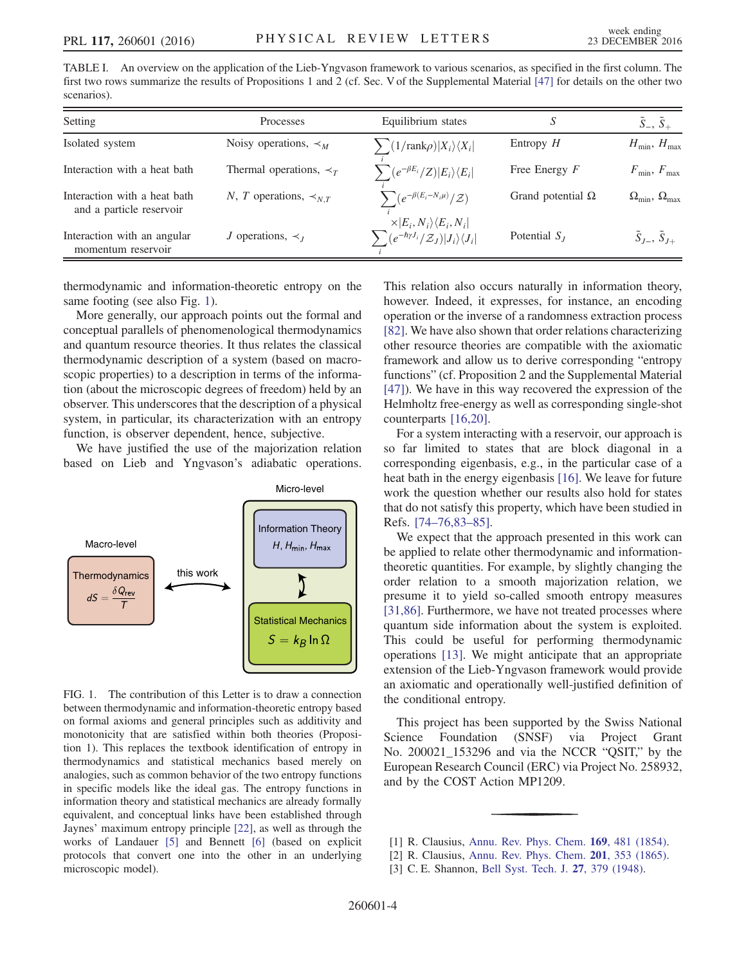<span id="page-3-2"></span>TABLE I. An overview on the application of the Lieb-Yngvason framework to various scenarios, as specified in the first column. The first two rows summarize the results of Propositions 1 and 2 (cf. Sec. V of the Supplemental Material [\[47\]](#page-4-11) for details on the other two scenarios).

| Setting                                                  | Processes                                        | Equilibrium states                                                                        | S                        | $S_-, \overline{S}_+$                         |
|----------------------------------------------------------|--------------------------------------------------|-------------------------------------------------------------------------------------------|--------------------------|-----------------------------------------------|
| Isolated system                                          | Noisy operations, $\prec_M$                      | $\sum (1/\text{rank}\rho) X_i\rangle\langle X_i $                                         | Entropy $H$              | $H_{\min}$ , $H_{\max}$                       |
| Interaction with a heat bath                             | Thermal operations, $\prec_{\tau}$               | $\sum_{i} \frac{e^{-\beta E_i}}{Z}  E_i\rangle \langle E_i $                              | Free Energy $F$          | $F_{\min}$ , $F_{\max}$                       |
| Interaction with a heat bath<br>and a particle reservoir | N, T operations, $\prec_{NT}$                    | $\sum (e^{-\beta(E_i-N_i\mu)}/\mathcal{Z})$<br>$\times  E_i, N_i\rangle\langle E_i, N_i $ | Grand potential $\Omega$ | $\Omega_{\text{min}}$ , $\Omega_{\text{max}}$ |
| Interaction with an angular<br>momentum reservoir        | <i>J</i> operations, $\prec$ <sub><i>I</i></sub> | $\sum (e^{-\hbar \gamma J_i}/\mathcal{Z}_J)  J_i\rangle\langle J_i $                      | Potential $S_I$          | $\tilde{S}_{J-}, \tilde{S}_{J+}$              |

thermodynamic and information-theoretic entropy on the same footing (see also Fig. [1\)](#page-3-3).

More generally, our approach points out the formal and conceptual parallels of phenomenological thermodynamics and quantum resource theories. It thus relates the classical thermodynamic description of a system (based on macroscopic properties) to a description in terms of the information (about the microscopic degrees of freedom) held by an observer. This underscores that the description of a physical system, in particular, its characterization with an entropy function, is observer dependent, hence, subjective.

We have justified the use of the majorization relation based on Lieb and Yngvason's adiabatic operations.

<span id="page-3-3"></span>

FIG. 1. The contribution of this Letter is to draw a connection between thermodynamic and information-theoretic entropy based on formal axioms and general principles such as additivity and monotonicity that are satisfied within both theories (Proposition 1). This replaces the textbook identification of entropy in thermodynamics and statistical mechanics based merely on analogies, such as common behavior of the two entropy functions in specific models like the ideal gas. The entropy functions in information theory and statistical mechanics are already formally equivalent, and conceptual links have been established through Jaynes' maximum entropy principle [\[22\],](#page-4-4) as well as through the works of Landauer [\[5\]](#page-4-1) and Bennett [\[6\]](#page-4-5) (based on explicit protocols that convert one into the other in an underlying microscopic model).

This relation also occurs naturally in information theory, however. Indeed, it expresses, for instance, an encoding operation or the inverse of a randomness extraction process [\[82\]](#page-5-4). We have also shown that order relations characterizing other resource theories are compatible with the axiomatic framework and allow us to derive corresponding "entropy functions" (cf. Proposition 2 and the Supplemental Material [\[47\]](#page-4-11)). We have in this way recovered the expression of the Helmholtz free-energy as well as corresponding single-shot counterparts [\[16,20\]](#page-4-14).

For a system interacting with a reservoir, our approach is so far limited to states that are block diagonal in a corresponding eigenbasis, e.g., in the particular case of a heat bath in the energy eigenbasis [\[16\]](#page-4-14). We leave for future work the question whether our results also hold for states that do not satisfy this property, which have been studied in Refs. [74–[76,83](#page-5-2)–85].

We expect that the approach presented in this work can be applied to relate other thermodynamic and informationtheoretic quantities. For example, by slightly changing the order relation to a smooth majorization relation, we presume it to yield so-called smooth entropy measures [\[31,86\]](#page-4-7). Furthermore, we have not treated processes where quantum side information about the system is exploited. This could be useful for performing thermodynamic operations [\[13\].](#page-4-21) We might anticipate that an appropriate extension of the Lieb-Yngvason framework would provide an axiomatic and operationally well-justified definition of the conditional entropy.

This project has been supported by the Swiss National Science Foundation (SNSF) via Project Grant No. 200021\_153296 and via the NCCR "QSIT," by the European Research Council (ERC) via Project No. 258932, and by the COST Action MP1209.

<span id="page-3-1"></span><span id="page-3-0"></span><sup>[1]</sup> R. Clausius, [Annu. Rev. Phys. Chem.](http://dx.doi.org/10.1002/andp.18541691202) **169**, 481 (1854).

<sup>[2]</sup> R. Clausius, [Annu. Rev. Phys. Chem.](http://dx.doi.org/10.1002/andp.18652010702) 201, 353 (1865).

<sup>[3]</sup> C. E. Shannon, [Bell Syst. Tech. J.](http://dx.doi.org/10.1002/j.1538-7305.1948.tb01338.x) 27, 379 (1948).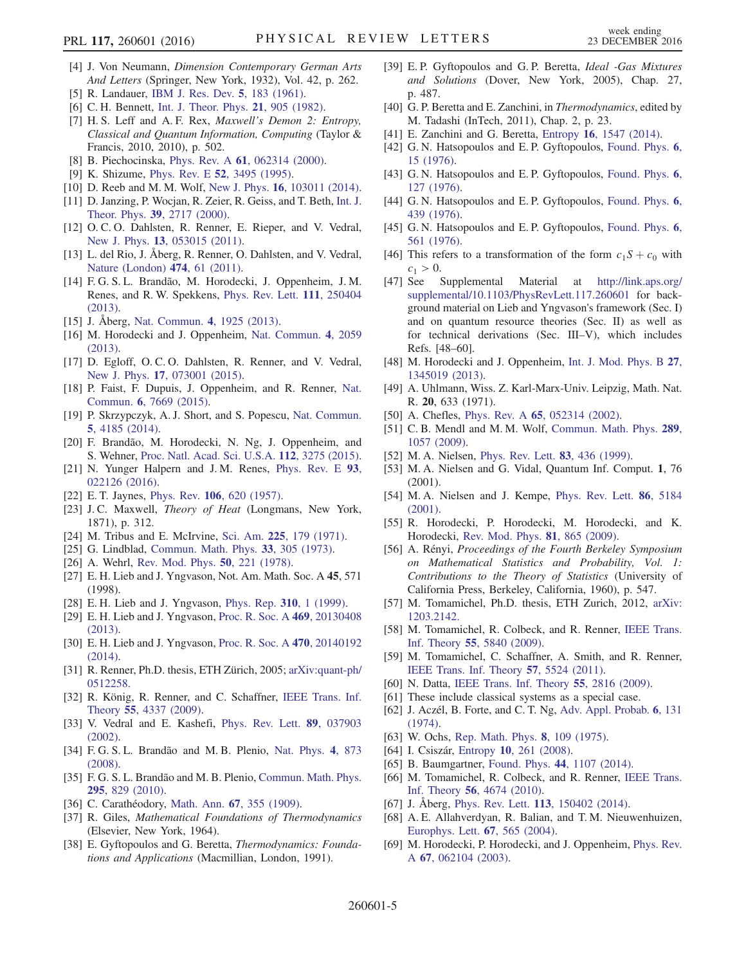- <span id="page-4-0"></span>[4] J. Von Neumann, Dimension Contemporary German Arts And Letters (Springer, New York, 1932), Vol. 42, p. 262.
- <span id="page-4-1"></span>[5] R. Landauer, [IBM J. Res. Dev.](http://dx.doi.org/10.1147/rd.53.0183) 5, 183 (1961).
- <span id="page-4-5"></span>[6] C. H. Bennett, [Int. J. Theor. Phys.](http://dx.doi.org/10.1007/BF02084158) **21**, 905 (1982).
- [7] H. S. Leff and A. F. Rex, Maxwell's Demon 2: Entropy, Classical and Quantum Information, Computing (Taylor & Francis, 2010, 2010), p. 502.
- <span id="page-4-2"></span>[8] B. Piechocinska, Phys. Rev. A 61[, 062314 \(2000\).](http://dx.doi.org/10.1103/PhysRevA.61.062314)
- [9] K. Shizume, Phys. Rev. E 52[, 3495 \(1995\)](http://dx.doi.org/10.1103/PhysRevE.52.3495).
- [10] D. Reeb and M. M. Wolf, New J. Phys. **16**[, 103011 \(2014\).](http://dx.doi.org/10.1088/1367-2630/16/10/103011)
- <span id="page-4-3"></span>[11] D. Janzing, P. Wocjan, R. Zeier, R. Geiss, and T. Beth, [Int. J.](http://dx.doi.org/10.1023/A:1026422630734) Theor. Phys. 39[, 2717 \(2000\)](http://dx.doi.org/10.1023/A:1026422630734).
- [12] O. C. O. Dahlsten, R. Renner, E. Rieper, and V. Vedral, New J. Phys. **13**[, 053015 \(2011\)](http://dx.doi.org/10.1088/1367-2630/13/5/053015).
- <span id="page-4-21"></span>[13] L. del Rio, J. Åberg, R. Renner, O. Dahlsten, and V. Vedral, [Nature \(London\)](http://dx.doi.org/10.1038/nature10123) 474, 61 (2011).
- <span id="page-4-19"></span>[14] F. G. S. L. Brandão, M. Horodecki, J. Oppenheim, J. M. Renes, and R. W. Spekkens, [Phys. Rev. Lett.](http://dx.doi.org/10.1103/PhysRevLett.111.250404) 111, 250404 [\(2013\).](http://dx.doi.org/10.1103/PhysRevLett.111.250404)
- <span id="page-4-15"></span>[15] J. Åberg, [Nat. Commun.](http://dx.doi.org/10.1038/ncomms2712) 4, 1925 (2013).
- <span id="page-4-14"></span>[16] M. Horodecki and J. Oppenheim, [Nat. Commun.](http://dx.doi.org/10.1038/ncomms3059) 4, 2059 [\(2013\).](http://dx.doi.org/10.1038/ncomms3059)
- [17] D. Egloff, O. C. O. Dahlsten, R. Renner, and V. Vedral, New J. Phys. 17[, 073001 \(2015\)](http://dx.doi.org/10.1088/1367-2630/17/7/073001).
- [18] P. Faist, F. Dupuis, J. Oppenheim, and R. Renner, [Nat.](http://dx.doi.org/10.1038/ncomms8669) Commun. 6[, 7669 \(2015\).](http://dx.doi.org/10.1038/ncomms8669)
- [19] P. Skrzypczyk, A. J. Short, and S. Popescu, [Nat. Commun.](http://dx.doi.org/10.1038/ncomms5185) 5[, 4185 \(2014\).](http://dx.doi.org/10.1038/ncomms5185)
- [20] F. Brandão, M. Horodecki, N. Ng, J. Oppenheim, and S. Wehner, [Proc. Natl. Acad. Sci. U.S.A.](http://dx.doi.org/10.1073/pnas.1411728112) 112, 3275 (2015).
- <span id="page-4-20"></span>[21] N. Yunger Halpern and J.M. Renes, [Phys. Rev. E](http://dx.doi.org/10.1103/PhysRevE.93.022126) 93, [022126 \(2016\).](http://dx.doi.org/10.1103/PhysRevE.93.022126)
- <span id="page-4-4"></span>[22] E. T. Jaynes, Phys. Rev. 106[, 620 \(1957\)](http://dx.doi.org/10.1103/PhysRev.106.620).
- [23] J.C. Maxwell, *Theory of Heat* (Longmans, New York, 1871), p. 312.
- [24] M. Tribus and E. McIrvine, Sci. Am. 225[, 179 \(1971\).](http://dx.doi.org/10.1038/scientificamerican0971-179)
- [25] G. Lindblad, [Commun. Math. Phys.](http://dx.doi.org/10.1007/BF01646743) 33, 305 (1973).
- [26] A. Wehrl, [Rev. Mod. Phys.](http://dx.doi.org/10.1103/RevModPhys.50.221) **50**, 221 (1978).
- <span id="page-4-6"></span>[27] E. H. Lieb and J. Yngvason, Not. Am. Math. Soc. A 45, 571 (1998).
- [28] E. H. Lieb and J. Yngvason, [Phys. Rep.](http://dx.doi.org/10.1016/S0370-1573(98)00082-9) 310, 1 (1999).
- <span id="page-4-8"></span>[29] E. H. Lieb and J. Yngvason, [Proc. R. Soc. A](http://dx.doi.org/10.1098/rspa.2013.0408) 469, 20130408 [\(2013\).](http://dx.doi.org/10.1098/rspa.2013.0408)
- <span id="page-4-22"></span>[30] E. H. Lieb and J. Yngvason, [Proc. R. Soc. A](http://dx.doi.org/10.1098/rspa.2014.0192) 470, 20140192 [\(2014\).](http://dx.doi.org/10.1098/rspa.2014.0192)
- <span id="page-4-7"></span>[31] R. Renner, Ph.D. thesis, ETH Zürich, 2005; [arXiv:quant-ph/](http://arXiv.org/abs/quant-ph/0512258) [0512258.](http://arXiv.org/abs/quant-ph/0512258)
- <span id="page-4-13"></span>[32] R. König, R. Renner, and C. Schaffner, [IEEE Trans. Inf.](http://dx.doi.org/10.1109/TIT.2009.2025545) Theory 55[, 4337 \(2009\)](http://dx.doi.org/10.1109/TIT.2009.2025545).
- <span id="page-4-9"></span>[33] V. Vedral and E. Kashefi, [Phys. Rev. Lett.](http://dx.doi.org/10.1103/PhysRevLett.89.037903) 89, 037903 [\(2002\).](http://dx.doi.org/10.1103/PhysRevLett.89.037903)
- [34] F. G. S. L. Brandão and M. B. Plenio, [Nat. Phys.](http://dx.doi.org/10.1038/nphys1100) 4, 873 [\(2008\).](http://dx.doi.org/10.1038/nphys1100)
- [35] F. G. S. L. Brandão and M. B. Plenio, [Commun. Math. Phys.](http://dx.doi.org/10.1007/s00220-010-1003-1) 295[, 829 \(2010\)](http://dx.doi.org/10.1007/s00220-010-1003-1).
- [36] C. Carathéodory, Math. Ann. **67**[, 355 \(1909\).](http://dx.doi.org/10.1007/BF01450409)
- [37] R. Giles, Mathematical Foundations of Thermodynamics (Elsevier, New York, 1964).
- [38] E. Gyftopoulos and G. Beretta, Thermodynamics: Foundations and Applications (Macmillian, London, 1991).
- [39] E.P. Gyftopoulos and G.P. Beretta, Ideal -Gas Mixtures and Solutions (Dover, New York, 2005), Chap. 27, p. 487.
- [40] G. P. Beretta and E. Zanchini, in *Thermodynamics*, edited by M. Tadashi (InTech, 2011), Chap. 2, p. 23.
- [41] E. Zanchini and G. Beretta, Entropy 16[, 1547 \(2014\).](http://dx.doi.org/10.3390/e16031547)
- [42] G. N. Hatsopoulos and E. P. Gyftopoulos, [Found. Phys.](http://dx.doi.org/10.1007/BF00708660) 6, [15 \(1976\).](http://dx.doi.org/10.1007/BF00708660)
- [43] G. N. Hatsopoulos and E. P. Gyftopoulos, [Found. Phys.](http://dx.doi.org/10.1007/BF00708955) 6, [127 \(1976\)](http://dx.doi.org/10.1007/BF00708955).
- [44] G. N. Hatsopoulos and E. P. Gyftopoulos, [Found. Phys.](http://dx.doi.org/10.1007/BF00715033) 6, [439 \(1976\)](http://dx.doi.org/10.1007/BF00715033).
- [45] G. N. Hatsopoulos and E. P. Gyftopoulos, [Found. Phys.](http://dx.doi.org/10.1007/BF00715108) 6, [561 \(1976\)](http://dx.doi.org/10.1007/BF00715108).
- <span id="page-4-10"></span>[46] This refers to a transformation of the form  $c_1S + c_0$  with  $c_1 > 0.$
- <span id="page-4-11"></span>[47] See Supplemental Material at [http://link.aps.org/](http://link.aps.org/supplemental/10.1103/PhysRevLett.117.260601) [supplemental/10.1103/PhysRevLett.117.260601](http://link.aps.org/supplemental/10.1103/PhysRevLett.117.260601) for background material on Lieb and Yngvason's framework (Sec. I) and on quantum resource theories (Sec. II) as well as for technical derivations (Sec. III–V), which includes Refs. [48–60].
- [48] M. Horodecki and J. Oppenheim, [Int. J. Mod. Phys. B](http://dx.doi.org/10.1142/S0217979213450197) 27, [1345019 \(2013\).](http://dx.doi.org/10.1142/S0217979213450197)
- [49] A. Uhlmann, Wiss. Z. Karl-Marx-Univ. Leipzig, Math. Nat. R. 20, 633 (1971).
- [50] A. Chefles, Phys. Rev. A **65**[, 052314 \(2002\)](http://dx.doi.org/10.1103/PhysRevA.65.052314).
- [51] C. B. Mendl and M. M. Wolf, [Commun. Math. Phys.](http://dx.doi.org/10.1007/s00220-009-0824-2) 289, [1057 \(2009\)](http://dx.doi.org/10.1007/s00220-009-0824-2).
- [52] M. A. Nielsen, [Phys. Rev. Lett.](http://dx.doi.org/10.1103/PhysRevLett.83.436) **83**, 436 (1999).
- [53] M. A. Nielsen and G. Vidal, Quantum Inf. Comput. 1, 76 (2001).
- [54] M. A. Nielsen and J. Kempe, [Phys. Rev. Lett.](http://dx.doi.org/10.1103/PhysRevLett.86.5184) 86, 5184 [\(2001\).](http://dx.doi.org/10.1103/PhysRevLett.86.5184)
- [55] R. Horodecki, P. Horodecki, M. Horodecki, and K. Horodecki, [Rev. Mod. Phys.](http://dx.doi.org/10.1103/RevModPhys.81.865) 81, 865 (2009).
- [56] A. Rényi, Proceedings of the Fourth Berkeley Symposium on Mathematical Statistics and Probability, Vol. 1: Contributions to the Theory of Statistics (University of California Press, Berkeley, California, 1960), p. 547.
- [57] M. Tomamichel, Ph.D. thesis, ETH Zurich, 2012, [arXiv:](http://arXiv.org/abs/1203.2142) [1203.2142.](http://arXiv.org/abs/1203.2142)
- [58] M. Tomamichel, R. Colbeck, and R. Renner, [IEEE Trans.](http://dx.doi.org/10.1109/TIT.2009.2032797) Inf. Theory 55[, 5840 \(2009\).](http://dx.doi.org/10.1109/TIT.2009.2032797)
- [59] M. Tomamichel, C. Schaffner, A. Smith, and R. Renner, [IEEE Trans. Inf. Theory](http://dx.doi.org/10.1109/TIT.2011.2158473) 57, 5524 (2011).
- [60] N. Datta, [IEEE Trans. Inf. Theory](http://dx.doi.org/10.1109/TIT.2009.2018325) 55, 2816 (2009).
- <span id="page-4-12"></span>[61] These include classical systems as a special case.
- [62] J. Aczél, B. Forte, and C. T. Ng, [Adv. Appl. Probab.](http://dx.doi.org/10.1017/S0001867800039744) 6, 131 [\(1974\).](http://dx.doi.org/10.1017/S0001867800039744)
- [63] W. Ochs, [Rep. Math. Phys.](http://dx.doi.org/10.1016/0034-4877(75)90022-1) 8, 109 (1975).
- [64] I. Csiszár, Entropy 10[, 261 \(2008\)](http://dx.doi.org/10.3390/e10030261).
- [65] B. Baumgartner, Found. Phys. 44[, 1107 \(2014\)](http://dx.doi.org/10.1007/s10701-014-9832-y).
- [66] M. Tomamichel, R. Colbeck, and R. Renner, [IEEE Trans.](http://dx.doi.org/10.1109/TIT.2010.2054130) Inf. Theory 56[, 4674 \(2010\).](http://dx.doi.org/10.1109/TIT.2010.2054130)
- <span id="page-4-16"></span>[67] J. Åberg, Phys. Rev. Lett. **113**[, 150402 \(2014\)](http://dx.doi.org/10.1103/PhysRevLett.113.150402).
- <span id="page-4-17"></span>[68] A. E. Allahverdyan, R. Balian, and T. M. Nieuwenhuizen, [Europhys. Lett.](http://dx.doi.org/10.1209/epl/i2004-10101-2) 67, 565 (2004).
- <span id="page-4-18"></span>[69] M. Horodecki, P. Horodecki, and J. Oppenheim, [Phys. Rev.](http://dx.doi.org/10.1103/PhysRevA.67.062104) A 67[, 062104 \(2003\)](http://dx.doi.org/10.1103/PhysRevA.67.062104).